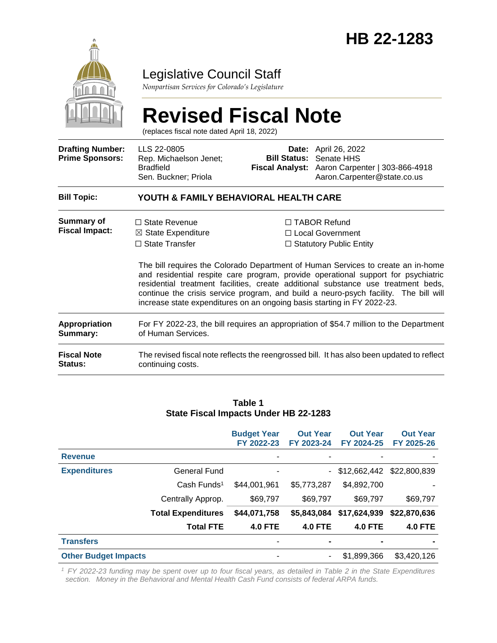

# Legislative Council Staff

*Nonpartisan Services for Colorado's Legislature*

# **Revised Fiscal Note**

(replaces fiscal note dated April 18, 2022)

| <b>Drafting Number:</b><br><b>Prime Sponsors:</b> | LLS 22-0805<br>Rep. Michaelson Jenet;<br><b>Bradfield</b><br>Sen. Buckner; Priola                               |  | <b>Date:</b> April 26, 2022<br><b>Bill Status: Senate HHS</b><br>Fiscal Analyst: Aaron Carpenter   303-866-4918<br>Aaron.Carpenter@state.co.us                                                                                                                                                                                                                                                                                                                                                               |  |  |  |  |
|---------------------------------------------------|-----------------------------------------------------------------------------------------------------------------|--|--------------------------------------------------------------------------------------------------------------------------------------------------------------------------------------------------------------------------------------------------------------------------------------------------------------------------------------------------------------------------------------------------------------------------------------------------------------------------------------------------------------|--|--|--|--|
| <b>Bill Topic:</b>                                | YOUTH & FAMILY BEHAVIORAL HEALTH CARE                                                                           |  |                                                                                                                                                                                                                                                                                                                                                                                                                                                                                                              |  |  |  |  |
| Summary of<br><b>Fiscal Impact:</b>               | $\Box$ State Revenue<br>$\boxtimes$ State Expenditure<br>$\Box$ State Transfer                                  |  | $\Box$ TABOR Refund<br>□ Local Government<br>$\Box$ Statutory Public Entity<br>The bill requires the Colorado Department of Human Services to create an in-home<br>and residential respite care program, provide operational support for psychiatric<br>residential treatment facilities, create additional substance use treatment beds,<br>continue the crisis service program, and build a neuro-psych facility. The bill will<br>increase state expenditures on an ongoing basis starting in FY 2022-23. |  |  |  |  |
| <b>Appropriation</b><br>Summary:                  | For FY 2022-23, the bill requires an appropriation of \$54.7 million to the Department<br>of Human Services.    |  |                                                                                                                                                                                                                                                                                                                                                                                                                                                                                                              |  |  |  |  |
| <b>Fiscal Note</b><br><b>Status:</b>              | The revised fiscal note reflects the reengrossed bill. It has also been updated to reflect<br>continuing costs. |  |                                                                                                                                                                                                                                                                                                                                                                                                                                                                                                              |  |  |  |  |

#### **Table 1 State Fiscal Impacts Under HB 22-1283**

|                             |                           | <b>Budget Year</b><br>FY 2022-23 | <b>Out Year</b><br>FY 2023-24 | <b>Out Year</b><br>FY 2024-25 | <b>Out Year</b><br>FY 2025-26 |
|-----------------------------|---------------------------|----------------------------------|-------------------------------|-------------------------------|-------------------------------|
| <b>Revenue</b>              |                           |                                  |                               |                               |                               |
| <b>Expenditures</b>         | General Fund              |                                  | $\sim$                        | \$12,662,442                  | \$22,800,839                  |
|                             | Cash Funds <sup>1</sup>   | \$44,001,961                     | \$5,773,287                   | \$4,892,700                   |                               |
|                             | Centrally Approp.         | \$69,797                         | \$69,797                      | \$69,797                      | \$69,797                      |
|                             | <b>Total Expenditures</b> | \$44,071,758                     | \$5,843,084                   | \$17,624,939                  | \$22,870,636                  |
|                             | <b>Total FTE</b>          | <b>4.0 FTE</b>                   | <b>4.0 FTE</b>                | <b>4.0 FTE</b>                | <b>4.0 FTE</b>                |
| <b>Transfers</b>            |                           | ٠                                | $\blacksquare$                | $\blacksquare$                |                               |
| <b>Other Budget Impacts</b> |                           | ۰                                | $\overline{\phantom{a}}$      | \$1,899,366                   | \$3,420,126                   |

*<sup>1</sup>FY 2022-23 funding may be spent over up to four fiscal years, as detailed in Table 2 in the State Expenditures section. Money in the Behavioral and Mental Health Cash Fund consists of federal ARPA funds.*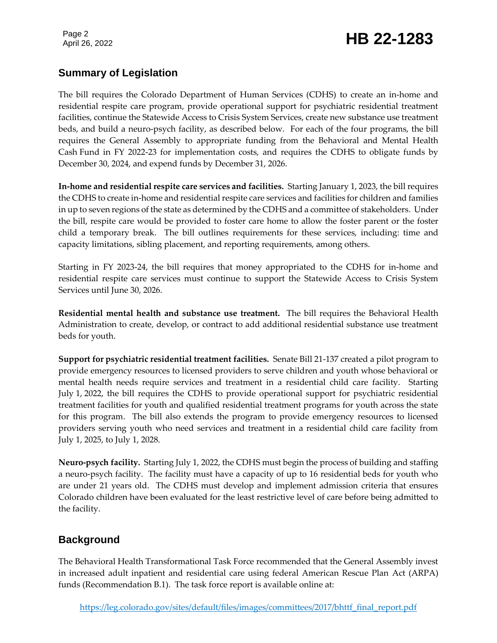Page 2

# Page 2<br>April 26, 2022 **HB 22-1283**

### **Summary of Legislation**

The bill requires the Colorado Department of Human Services (CDHS) to create an in-home and residential respite care program, provide operational support for psychiatric residential treatment facilities, continue the Statewide Access to Crisis System Services, create new substance use treatment beds, and build a neuro-psych facility, as described below. For each of the four programs, the bill requires the General Assembly to appropriate funding from the Behavioral and Mental Health Cash Fund in FY 2022-23 for implementation costs, and requires the CDHS to obligate funds by December 30, 2024, and expend funds by December 31, 2026.

**In-home and residential respite care services and facilities.** Starting January 1, 2023, the bill requires the CDHS to create in-home and residential respite care services and facilities for children and families in up to seven regions of the state as determined by the CDHS and a committee of stakeholders. Under the bill, respite care would be provided to foster care home to allow the foster parent or the foster child a temporary break. The bill outlines requirements for these services, including: time and capacity limitations, sibling placement, and reporting requirements, among others.

Starting in FY 2023-24, the bill requires that money appropriated to the CDHS for in-home and residential respite care services must continue to support the Statewide Access to Crisis System Services until June 30, 2026.

**Residential mental health and substance use treatment.** The bill requires the Behavioral Health Administration to create, develop, or contract to add additional residential substance use treatment beds for youth.

**Support for psychiatric residential treatment facilities.** Senate Bill 21-137 created a pilot program to provide emergency resources to licensed providers to serve children and youth whose behavioral or mental health needs require services and treatment in a residential child care facility. Starting July 1, 2022, the bill requires the CDHS to provide operational support for psychiatric residential treatment facilities for youth and qualified residential treatment programs for youth across the state for this program. The bill also extends the program to provide emergency resources to licensed providers serving youth who need services and treatment in a residential child care facility from July 1, 2025, to July 1, 2028.

**Neuro-psych facility.** Starting July 1, 2022, the CDHS must begin the process of building and staffing a neuro-psych facility. The facility must have a capacity of up to 16 residential beds for youth who are under 21 years old. The CDHS must develop and implement admission criteria that ensures Colorado children have been evaluated for the least restrictive level of care before being admitted to the facility.

# **Background**

The Behavioral Health Transformational Task Force recommended that the General Assembly invest in increased adult inpatient and residential care using federal American Rescue Plan Act (ARPA) funds (Recommendation B.1). The task force report is available online at: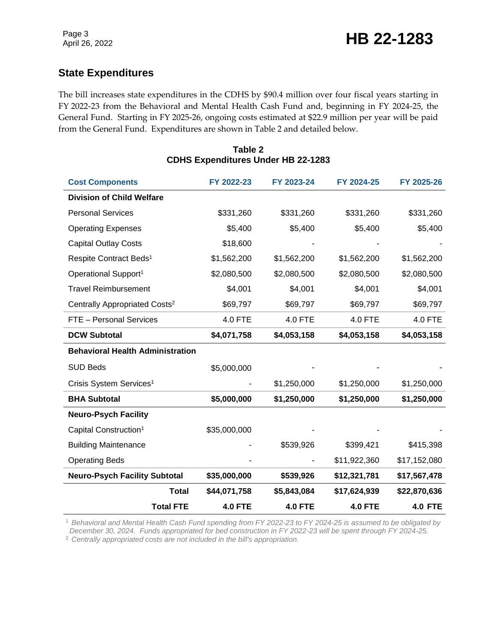# **State Expenditures**

The bill increases state expenditures in the CDHS by \$90.4 million over four fiscal years starting in FY 2022-23 from the Behavioral and Mental Health Cash Fund and, beginning in FY 2024-25, the General Fund. Starting in FY 2025-26, ongoing costs estimated at \$22.9 million per year will be paid from the General Fund. Expenditures are shown in Table 2 and detailed below.

| <b>Cost Components</b>                    |                  | FY 2022-23     | FY 2023-24     | FY 2024-25     | FY 2025-26     |
|-------------------------------------------|------------------|----------------|----------------|----------------|----------------|
| <b>Division of Child Welfare</b>          |                  |                |                |                |                |
| <b>Personal Services</b>                  |                  | \$331,260      | \$331,260      | \$331,260      | \$331,260      |
| <b>Operating Expenses</b>                 |                  | \$5,400        | \$5,400        | \$5,400        | \$5,400        |
| <b>Capital Outlay Costs</b>               |                  | \$18,600       |                |                |                |
| Respite Contract Beds <sup>1</sup>        |                  | \$1,562,200    | \$1,562,200    | \$1,562,200    | \$1,562,200    |
| Operational Support <sup>1</sup>          |                  | \$2,080,500    | \$2,080,500    | \$2,080,500    | \$2,080,500    |
| <b>Travel Reimbursement</b>               |                  | \$4,001        | \$4,001        | \$4,001        | \$4,001        |
| Centrally Appropriated Costs <sup>2</sup> |                  | \$69,797       | \$69,797       | \$69,797       | \$69,797       |
| FTE - Personal Services                   |                  | 4.0 FTE        | 4.0 FTE        | 4.0 FTE        | 4.0 FTE        |
| <b>DCW Subtotal</b>                       |                  | \$4,071,758    | \$4,053,158    | \$4,053,158    | \$4,053,158    |
| <b>Behavioral Health Administration</b>   |                  |                |                |                |                |
| <b>SUD Beds</b>                           |                  | \$5,000,000    |                |                |                |
| Crisis System Services <sup>1</sup>       |                  |                | \$1,250,000    | \$1,250,000    | \$1,250,000    |
| <b>BHA Subtotal</b>                       |                  | \$5,000,000    | \$1,250,000    | \$1,250,000    | \$1,250,000    |
| <b>Neuro-Psych Facility</b>               |                  |                |                |                |                |
| Capital Construction <sup>1</sup>         |                  | \$35,000,000   |                |                |                |
| <b>Building Maintenance</b>               |                  |                | \$539,926      | \$399,421      | \$415,398      |
| <b>Operating Beds</b>                     |                  |                |                | \$11,922,360   | \$17,152,080   |
| <b>Neuro-Psych Facility Subtotal</b>      |                  | \$35,000,000   | \$539,926      | \$12,321,781   | \$17,567,478   |
|                                           | <b>Total</b>     | \$44,071,758   | \$5,843,084    | \$17,624,939   | \$22,870,636   |
|                                           | <b>Total FTE</b> | <b>4.0 FTE</b> | <b>4.0 FTE</b> | <b>4.0 FTE</b> | <b>4.0 FTE</b> |

#### **Table 2 CDHS Expenditures Under HB 22-1283**

<sup>1</sup> *Behavioral and Mental Health Cash Fund spending from FY 2022-23 to FY 2024-25 is assumed to be obligated by December 30, 2024. Funds appropriated for bed construction in FY 2022-23 will be spent through FY 2024-25.*

<sup>2</sup> *Centrally appropriated costs are not included in the bill's appropriation.*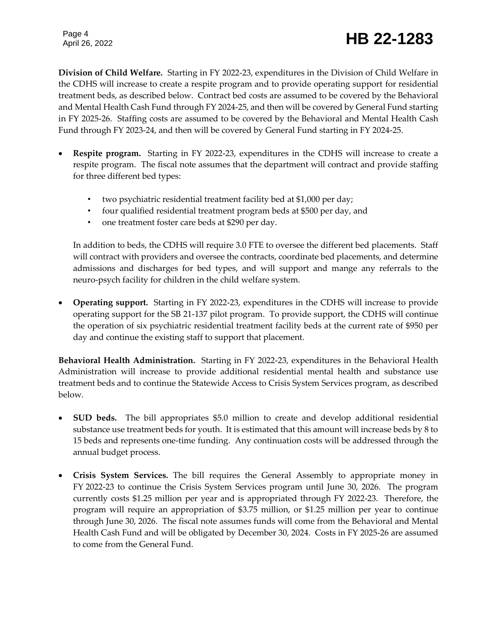Page 4

# Page 4<br>April 26, 2022 **HB 22-1283**

**Division of Child Welfare.** Starting in FY 2022-23, expenditures in the Division of Child Welfare in the CDHS will increase to create a respite program and to provide operating support for residential treatment beds, as described below. Contract bed costs are assumed to be covered by the Behavioral and Mental Health Cash Fund through FY 2024-25, and then will be covered by General Fund starting in FY 2025-26. Staffing costs are assumed to be covered by the Behavioral and Mental Health Cash Fund through FY 2023-24, and then will be covered by General Fund starting in FY 2024-25.

- **Respite program.** Starting in FY 2022-23, expenditures in the CDHS will increase to create a respite program. The fiscal note assumes that the department will contract and provide staffing for three different bed types:
	- two psychiatric residential treatment facility bed at \$1,000 per day;
	- four qualified residential treatment program beds at \$500 per day, and
	- one treatment foster care beds at \$290 per day.

In addition to beds, the CDHS will require 3.0 FTE to oversee the different bed placements. Staff will contract with providers and oversee the contracts, coordinate bed placements, and determine admissions and discharges for bed types, and will support and mange any referrals to the neuro-psych facility for children in the child welfare system.

 **Operating support.** Starting in FY 2022-23, expenditures in the CDHS will increase to provide operating support for the SB 21-137 pilot program. To provide support, the CDHS will continue the operation of six psychiatric residential treatment facility beds at the current rate of \$950 per day and continue the existing staff to support that placement.

**Behavioral Health Administration.** Starting in FY 2022-23, expenditures in the Behavioral Health Administration will increase to provide additional residential mental health and substance use treatment beds and to continue the Statewide Access to Crisis System Services program, as described below.

- **SUD beds.** The bill appropriates \$5.0 million to create and develop additional residential substance use treatment beds for youth. It is estimated that this amount will increase beds by 8 to 15 beds and represents one-time funding. Any continuation costs will be addressed through the annual budget process.
- **Crisis System Services.** The bill requires the General Assembly to appropriate money in FY 2022-23 to continue the Crisis System Services program until June 30, 2026. The program currently costs \$1.25 million per year and is appropriated through FY 2022-23. Therefore, the program will require an appropriation of \$3.75 million, or \$1.25 million per year to continue through June 30, 2026. The fiscal note assumes funds will come from the Behavioral and Mental Health Cash Fund and will be obligated by December 30, 2024. Costs in FY 2025-26 are assumed to come from the General Fund.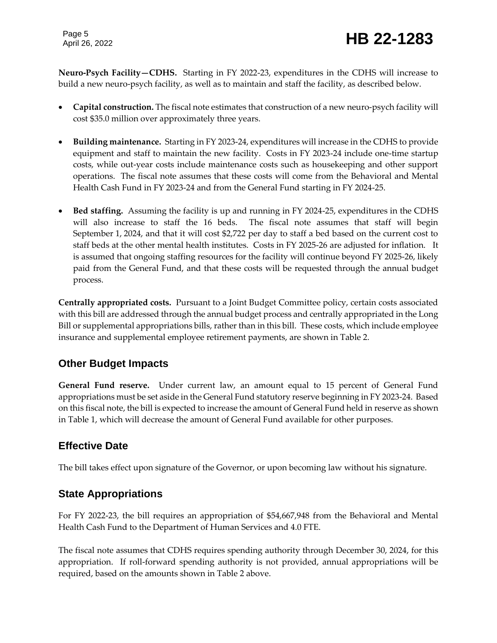Page 5

**Neuro-Psych Facility—CDHS.** Starting in FY 2022-23, expenditures in the CDHS will increase to build a new neuro-psych facility, as well as to maintain and staff the facility, as described below.

- **Capital construction.** The fiscal note estimates that construction of a new neuro-psych facility will cost \$35.0 million over approximately three years.
- **Building maintenance.** Starting in FY 2023-24, expenditures will increase in the CDHS to provide equipment and staff to maintain the new facility. Costs in FY 2023-24 include one-time startup costs, while out-year costs include maintenance costs such as housekeeping and other support operations. The fiscal note assumes that these costs will come from the Behavioral and Mental Health Cash Fund in FY 2023-24 and from the General Fund starting in FY 2024-25.
- **Bed staffing.** Assuming the facility is up and running in FY 2024-25, expenditures in the CDHS will also increase to staff the 16 beds. The fiscal note assumes that staff will begin September 1, 2024, and that it will cost \$2,722 per day to staff a bed based on the current cost to staff beds at the other mental health institutes. Costs in FY 2025-26 are adjusted for inflation. It is assumed that ongoing staffing resources for the facility will continue beyond FY 2025-26, likely paid from the General Fund, and that these costs will be requested through the annual budget process.

**Centrally appropriated costs.** Pursuant to a Joint Budget Committee policy, certain costs associated with this bill are addressed through the annual budget process and centrally appropriated in the Long Bill or supplemental appropriations bills, rather than in this bill. These costs, which include employee insurance and supplemental employee retirement payments, are shown in Table 2.

# **Other Budget Impacts**

**General Fund reserve.** Under current law, an amount equal to 15 percent of General Fund appropriations must be set aside in the General Fund statutory reserve beginning in FY 2023-24. Based on this fiscal note, the bill is expected to increase the amount of General Fund held in reserve as shown in Table 1, which will decrease the amount of General Fund available for other purposes.

# **Effective Date**

The bill takes effect upon signature of the Governor, or upon becoming law without his signature.

# **State Appropriations**

For FY 2022-23, the bill requires an appropriation of \$54,667,948 from the Behavioral and Mental Health Cash Fund to the Department of Human Services and 4.0 FTE.

The fiscal note assumes that CDHS requires spending authority through December 30, 2024, for this appropriation. If roll-forward spending authority is not provided, annual appropriations will be required, based on the amounts shown in Table 2 above.